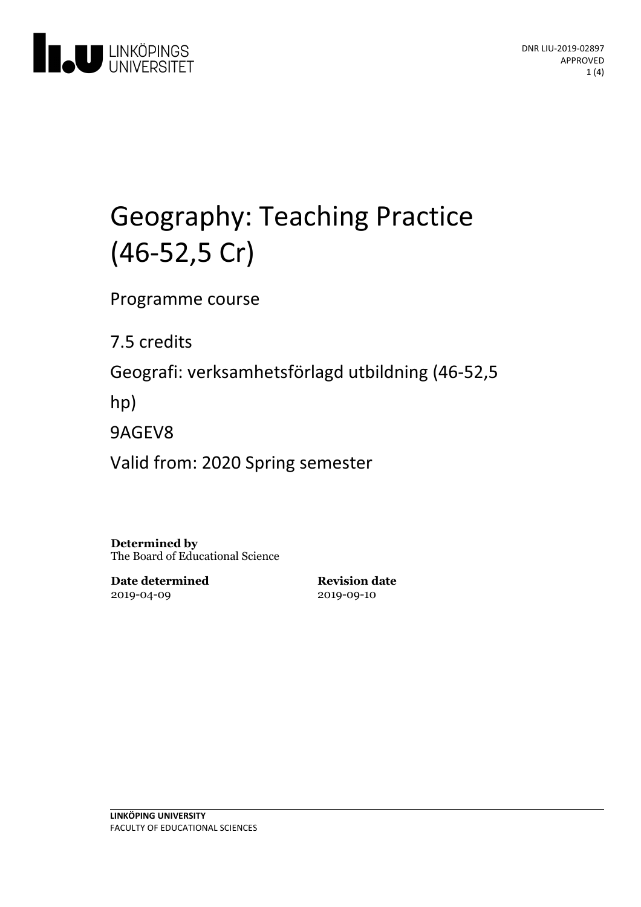

# Geography: Teaching Practice (46-52,5 Cr)

Programme course

7.5 credits

Geografi: verksamhetsförlagd utbildning(46-52,5

hp)

9AGEV8

Valid from: 2020 Spring semester

**Determined by** The Board of Educational Science

**Date determined** 2019-04-09

**Revision date** 2019-09-10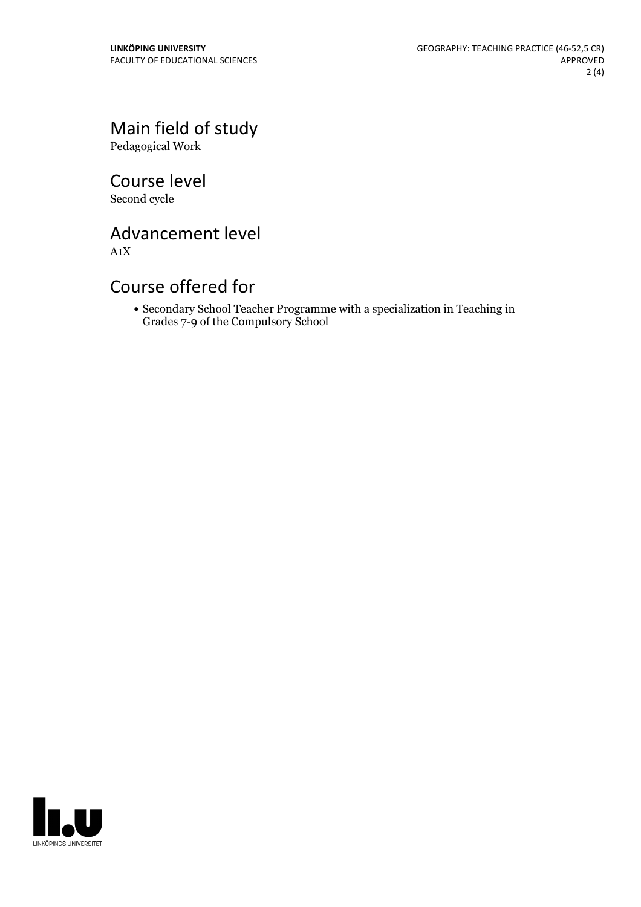Main field of study Pedagogical Work

Course level Second cycle

Advancement level

A1X

## Course offered for

Secondary School Teacher Programme with a specialization in Teaching in Grades 7-9 of the Compulsory School

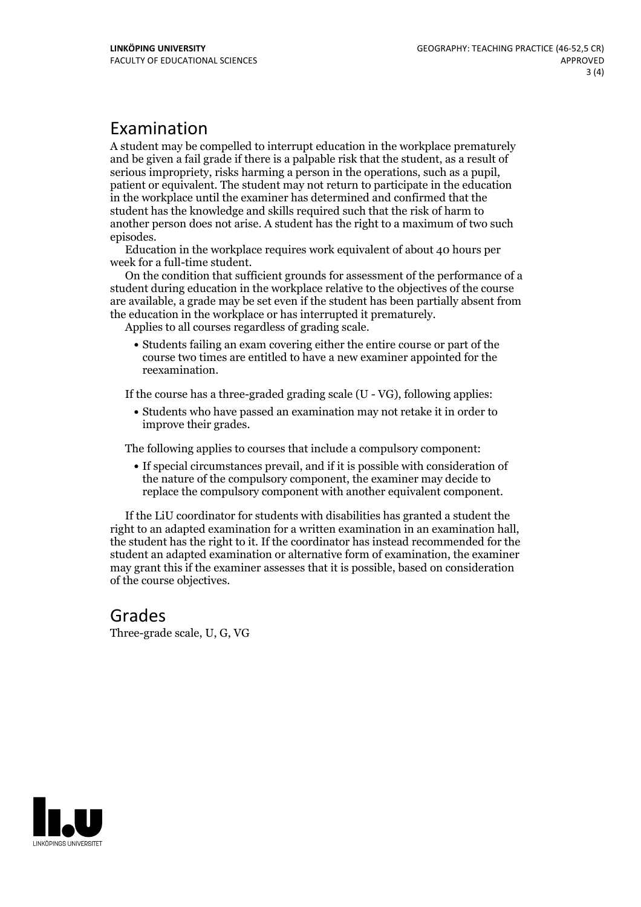### Examination

A student may be compelled to interrupt education in the workplace prematurely and be given a failgrade if there is a palpable risk that the student, as a result of serious impropriety, risks harming <sup>a</sup> person in the operations, such as <sup>a</sup> pupil, patient or equivalent. The student may not return to participate in the education in the workplace until the examiner has determined and confirmed that the student has the knowledge and skills required such that the risk of harm to another person does not arise. A student has the right to a maximum of two such

episodes. Education in the workplace requires work equivalent of about <sup>40</sup> hours per

week for <sup>a</sup> full-time student. On the condition that sufficient grounds for assessment of the performance of <sup>a</sup> student during education in the workplace relative to the objectives of the course are available, a grade may be set even if the student has been partially absent from the education in the workplace or has interrupted it prematurely. Applies to all courses regardless of grading scale.

Students failing an exam covering either the entire course or part of the course two times are entitled to have a new examiner appointed for the reexamination.

If the course has a three-graded grading scale (U - VG), following applies:

Students who have passed an examination may not retake it in order to improve their grades.

The following applies to courses that include a compulsory component:

If special circumstances prevail, and if it is possible with consideration of the nature of the compulsory component, the examiner may decide to replace the compulsory component with another equivalent component.

If the LiU coordinator for students with disabilities has granted a student the right to an adapted examination for <sup>a</sup> written examination in an examination hall, the student has the right to it. If the coordinator has instead recommended for the student an adapted examination or alternative form of examination, the examiner may grant this if the examiner assesses that it is possible, based on consideration of the course objectives.

# Grades

Three-grade scale, U, G, VG